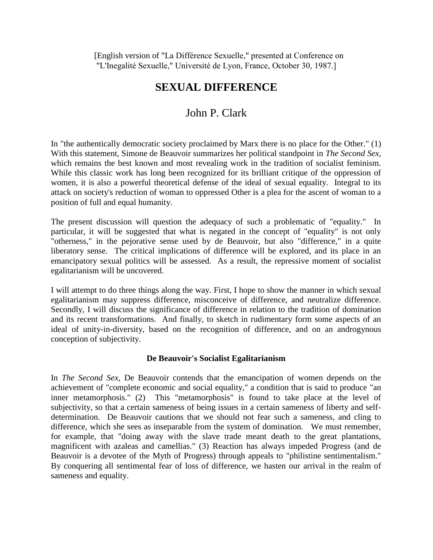[English version of "La Différence Sexuelle," presented at Conference on "L'Inegalité Sexuelle," Université de Lyon, France, October 30, 1987.]

# **SEXUAL DIFFERENCE**

# John P. Clark

In "the authentically democratic society proclaimed by Marx there is no place for the Other." (1) With this statement, Simone de Beauvoir summarizes her political standpoint in *The Second Sex*, which remains the best known and most revealing work in the tradition of socialist feminism. While this classic work has long been recognized for its brilliant critique of the oppression of women, it is also a powerful theoretical defense of the ideal of sexual equality. Integral to its attack on society's reduction of woman to oppressed Other is a plea for the ascent of woman to a position of full and equal humanity.

The present discussion will question the adequacy of such a problematic of "equality." In particular, it will be suggested that what is negated in the concept of "equality" is not only "otherness," in the pejorative sense used by de Beauvoir, but also "difference," in a quite liberatory sense. The critical implications of difference will be explored, and its place in an emancipatory sexual politics will be assessed. As a result, the repressive moment of socialist egalitarianism will be uncovered.

I will attempt to do three things along the way. First, I hope to show the manner in which sexual egalitarianism may suppress difference, misconceive of difference, and neutralize difference. Secondly, I will discuss the significance of difference in relation to the tradition of domination and its recent transformations. And finally, to sketch in rudimentary form some aspects of an ideal of unity-in-diversity, based on the recognition of difference, and on an androgynous conception of subjectivity.

### **De Beauvoir's Socialist Egalitarianism**

In *The Second Sex*, De Beauvoir contends that the emancipation of women depends on the achievement of "complete economic and social equality," a condition that is said to produce "an inner metamorphosis." (2) This "metamorphosis" is found to take place at the level of subjectivity, so that a certain sameness of being issues in a certain sameness of liberty and selfdetermination. De Beauvoir cautions that we should not fear such a sameness, and cling to difference, which she sees as inseparable from the system of domination. We must remember, for example, that "doing away with the slave trade meant death to the great plantations, magnificent with azaleas and camellias." (3) Reaction has always impeded Progress (and de Beauvoir is a devotee of the Myth of Progress) through appeals to "philistine sentimentalism." By conquering all sentimental fear of loss of difference, we hasten our arrival in the realm of sameness and equality.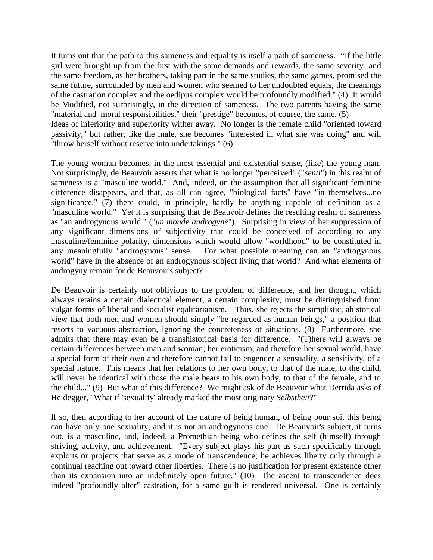It turns out that the path to this sameness and equality is itself a path of sameness. "If the little girl were brought up from the first with the same demands and rewards, the same severity and the same freedom, as her brothers, taking part in the same studies, the same games, promised the same future, surrounded by men and women who seemed to her undoubted equals, the meanings of the castration complex and the oedipus complex would be profoundly modified." (4) It would be Modified, not surprisingly, in the direction of sameness. The two parents having the same "material and moral responsibilities," their "prestige" becomes, of course, the same. (5) Ideas of inferiority and superiority wither away. No longer is the female child "oriented toward passivity," but rather, like the male, she becomes "interested in what she was doing" and will "throw herself without reserve into undertakings." (6)

The young woman becomes, in the most essential and existential sense, (like) the young man. Not surprisingly, de Beauvoir asserts that what is no longer "perceived" ("*senti*") in this realm of sameness is a "masculine world." And, indeed, on the assumption that all significant feminine difference disappears, and that, as all can agree, "biological facts" have "in themselves...no significance," (7) there could, in principle, hardly be anything capable of definition as a "masculine world." Yet it is surprising that de Beauvoir defines the resulting realm of sameness as "an androgynous world." ("*un monde androgyne*"). Surprising in view of her suppression of any significant dimensions of subjectivity that could be conceived of according to any masculine/feminine polarity, dimensions which would allow "worldhood" to be constituted in any meaningfully "androgynous" sense. For what possible meaning can an "androgynous world" have in the absence of an androgynous subject living that world? And what elements of androgyny remain for de Beauvoir's subject?

De Beauvoir is certainly not oblivious to the problem of difference, and her thought, which always retains a certain dialectical element, a certain complexity, must be distinguished from vulgar forms of liberal and socialist eqalitarianism. Thus, she rejects the simplistic, ahistorical view that both men and women should simply "be regarded as human beings," a position that resorts to vacuous abstraction, ignoring the concreteness of situations. (8) Furthermore, she admits that there may even be a transhistorical basis for difference. "(T)here will always be certain differences between man and woman; her eroticism, and therefore her sexual world, have a special form of their own and therefore cannot fail to engender a sensuality, a sensitivity, of a special nature. This means that her relations to her own body, to that of the male, to the child, will never be identical with those the male bears to his own body, to that of the female, and to the child..." (9) But what of this difference? We might ask of de Beauvoir what Derrida asks of Heidegger, "What if 'sexuality' already marked the most originary *Selbstheit*?"

If so, then according to her account of the nature of being human, of being pour soi, this being can have only one sexuality, and it is not an androgynous one. De Beauvoir's subject, it turns out, is a masculine, and, indeed, a Promethian being who defines the self (himself) through striving, activity, and achievement. "Every subject plays his part as such specifically through exploits or projects that serve as a mode of transcendence; he achieves liberty only through a continual reaching out toward other liberties. There is no justification for present existence other than its expansion into an indefinitely open future." (10) The ascent to transcendence does indeed "profoundly alter" castration, for a same guilt is rendered universal. One is certainly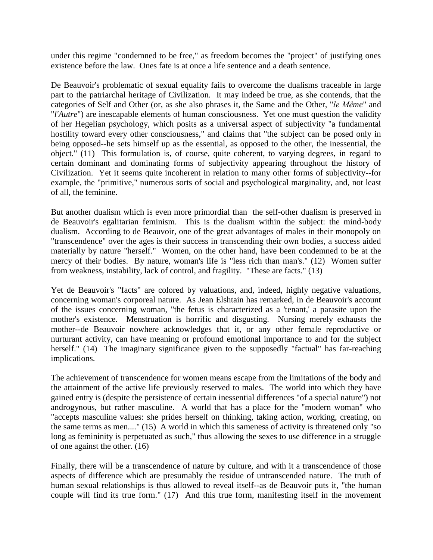under this regime "condemned to be free," as freedom becomes the "project" of justifying ones existence before the law. Ones fate is at once a life sentence and a death sentence.

De Beauvoir's problematic of sexual equality fails to overcome the dualisms traceable in large part to the patriarchal heritage of Civilization. It may indeed be true, as she contends, that the categories of Self and Other (or, as she also phrases it, the Same and the Other, "*le Même*" and "*l'Autre*") are inescapable elements of human consciousness. Yet one must question the validity of her Hegelian psychology, which posits as a universal aspect of subjectivity "a fundamental hostility toward every other consciousness," and claims that "the subject can be posed only in being opposed--he sets himself up as the essential, as opposed to the other, the inessential, the object." (11) This formulation is, of course, quite coherent, to varying degrees, in regard to certain dominant and dominating forms of subjectivity appearing throughout the history of Civilization. Yet it seems quite incoherent in relation to many other forms of subjectivity--for example, the "primitive," numerous sorts of social and psychological marginality, and, not least of all, the feminine.

But another dualism which is even more primordial than the self-other dualism is preserved in de Beauvoir's egalitarian feminism. This is the dualism within the subject: the mind-body dualism. According to de Beauvoir, one of the great advantages of males in their monopoly on "transcendence" over the ages is their success in transcending their own bodies, a success aided materially by nature "herself." Women, on the other hand, have been condemned to be at the mercy of their bodies. By nature, woman's life is "less rich than man's." (12) Women suffer from weakness, instability, lack of control, and fragility. "These are facts." (13)

Yet de Beauvoir's "facts" are colored by valuations, and, indeed, highly negative valuations, concerning woman's corporeal nature. As Jean Elshtain has remarked, in de Beauvoir's account of the issues concerning woman, "the fetus is characterized as a 'tenant,' a parasite upon the mother's existence. Menstruation is horrific and disgusting. Nursing merely exhausts the mother--de Beauvoir nowhere acknowledges that it, or any other female reproductive or nurturant activity, can have meaning or profound emotional importance to and for the subject herself." (14) The imaginary significance given to the supposedly "factual" has far-reaching implications.

The achievement of transcendence for women means escape from the limitations of the body and the attainment of the active life previously reserved to males. The world into which they have gained entry is (despite the persistence of certain inessential differences "of a special nature") not androgynous, but rather masculine. A world that has a place for the "modern woman" who "accepts masculine values: she prides herself on thinking, taking action, working, creating, on the same terms as men...." (15) A world in which this sameness of activity is threatened only "so long as femininity is perpetuated as such," thus allowing the sexes to use difference in a struggle of one against the other. (16)

Finally, there will be a transcendence of nature by culture, and with it a transcendence of those aspects of difference which are presumably the residue of untranscended nature. The truth of human sexual relationships is thus allowed to reveal itself--as de Beauvoir puts it, "the human couple will find its true form." (17) And this true form, manifesting itself in the movement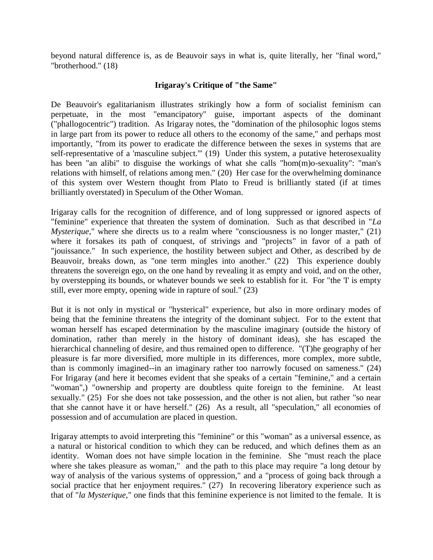beyond natural difference is, as de Beauvoir says in what is, quite literally, her "final word," "brotherhood." (18)

## **Irigaray's Critique of "the Same"**

De Beauvoir's egalitarianism illustrates strikingly how a form of socialist feminism can perpetuate, in the most "emancipatory" guise, important aspects of the dominant ("phallogocentric") tradition. As Irigaray notes, the "domination of the philosophic logos stems in large part from its power to reduce all others to the economy of the same," and perhaps most importantly, "from its power to eradicate the difference between the sexes in systems that are self-representative of a 'masculine subject.'" (19) Under this system, a putative heterosexuality has been "an alibi" to disguise the workings of what she calls "hom(m)o-sexuality": "man's relations with himself, of relations among men." (20) Her case for the overwhelming dominance of this system over Western thought from Plato to Freud is brilliantly stated (if at times brilliantly overstated) in Speculum of the Other Woman.

Irigaray calls for the recognition of difference, and of long suppressed or ignored aspects of "feminine" experience that threaten the system of domination. Such as that described in "*La Mysterique*," where she directs us to a realm where "consciousness is no longer master," (21) where it forsakes its path of conquest, of strivings and "projects" in favor of a path of "jouissance." In such experience, the hostility between subject and Other, as described by de Beauvoir, breaks down, as "one term mingles into another." (22) This experience doubly threatens the sovereign ego, on the one hand by revealing it as empty and void, and on the other, by overstepping its bounds, or whatever bounds we seek to establish for it. For "the 'I' is empty still, ever more empty, opening wide in rapture of soul." (23)

But it is not only in mystical or "hysterical" experience, but also in more ordinary modes of being that the feminine threatens the integrity of the dominant subject. For to the extent that woman herself has escaped determination by the masculine imaginary (outside the history of domination, rather than merely in the history of dominant ideas), she has escaped the hierarchical channeling of desire, and thus remained open to difference. "(T)he geography of her pleasure is far more diversified, more multiple in its differences, more complex, more subtle, than is commonly imagined--in an imaginary rather too narrowly focused on sameness." (24) For Irigaray (and here it becomes evident that she speaks of a certain "feminine," and a certain "woman",) "ownership and property are doubtless quite foreign to the feminine. At least sexually." (25) For she does not take possession, and the other is not alien, but rather "so near that she cannot have it or have herself." (26) As a result, all "speculation," all economies of possession and of accumulation are placed in question.

Irigaray attempts to avoid interpreting this "feminine" or this "woman" as a universal essence, as a natural or historical condition to which they can be reduced, and which defines them as an identity. Woman does not have simple location in the feminine. She "must reach the place where she takes pleasure as woman," and the path to this place may require "a long detour by way of analysis of the various systems of oppression," and a "process of going back through a social practice that her enjoyment requires." (27) In recovering liberatory experience such as that of "*la Mysterique*," one finds that this feminine experience is not limited to the female. It is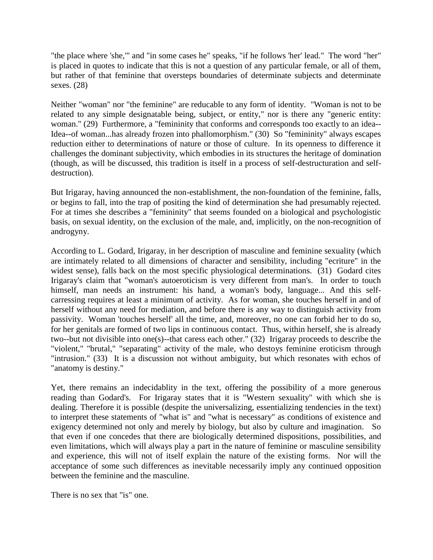"the place where 'she,'" and "in some cases he" speaks, "if he follows 'her' lead." The word "her" is placed in quotes to indicate that this is not a question of any particular female, or all of them, but rather of that feminine that oversteps boundaries of determinate subjects and determinate sexes. (28)

Neither "woman" nor "the feminine" are reducable to any form of identity. "Woman is not to be related to any simple designatable being, subject, or entity," nor is there any "generic entity: woman." (29) Furthermore, a "femininity that conforms and corresponds too exactly to an idea-- Idea--of woman...has already frozen into phallomorphism." (30) So "femininity" always escapes reduction either to determinations of nature or those of culture. In its openness to difference it challenges the dominant subjectivity, which embodies in its structures the heritage of domination (though, as will be discussed, this tradition is itself in a process of self-destructuration and selfdestruction).

But Irigaray, having announced the non-establishment, the non-foundation of the feminine, falls, or begins to fall, into the trap of positing the kind of determination she had presumably rejected. For at times she describes a "femininity" that seems founded on a biological and psychologistic basis, on sexual identity, on the exclusion of the male, and, implicitly, on the non-recognition of androgyny.

According to L. Godard, Irigaray, in her description of masculine and feminine sexuality (which are intimately related to all dimensions of character and sensibility, including "ecriture" in the widest sense), falls back on the most specific physiological determinations. (31) Godard cites Irigaray's claim that "woman's autoeroticism is very different from man's. In order to touch himself, man needs an instrument: his hand, a woman's body, language... And this selfcarressing requires at least a minimum of activity. As for woman, she touches herself in and of herself without any need for mediation, and before there is any way to distinguish activity from passivity. Woman 'touches herself' all the time, and, moreover, no one can forbid her to do so, for her genitals are formed of two lips in continuous contact. Thus, within herself, she is already two--but not divisible into one(s)--that caress each other." (32) Irigaray proceeds to describe the "violent," "brutal," "separating" activity of the male, who destoys feminine eroticism through "intrusion." (33) It is a discussion not without ambiguity, but which resonates with echos of "anatomy is destiny."

Yet, there remains an indecidablity in the text, offering the possibility of a more generous reading than Godard's. For Irigaray states that it is "Western sexuality" with which she is dealing. Therefore it is possible (despite the universalizing, essentializing tendencies in the text) to interpret these statements of "what is" and "what is necessary" as conditions of existence and exigency determined not only and merely by biology, but also by culture and imagination. So that even if one concedes that there are biologically determined dispositions, possibilities, and even limitations, which will always play a part in the nature of feminine or masculine sensibility and experience, this will not of itself explain the nature of the existing forms. Nor will the acceptance of some such differences as inevitable necessarily imply any continued opposition between the feminine and the masculine.

There is no sex that "is" one.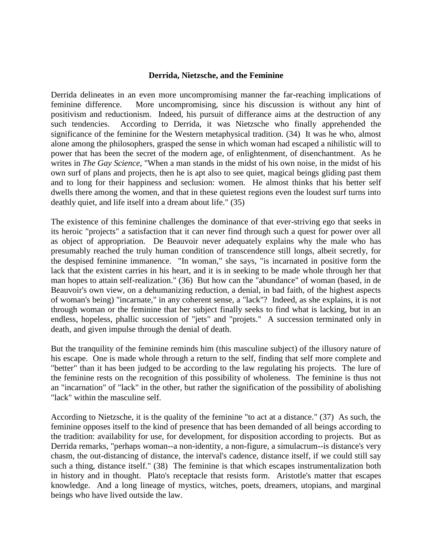#### **Derrida, Nietzsche, and the Feminine**

Derrida delineates in an even more uncompromising manner the far-reaching implications of feminine difference. More uncompromising, since his discussion is without any hint of positivism and reductionism. Indeed, his pursuit of differance aims at the destruction of any such tendencies. According to Derrida, it was Nietzsche who finally apprehended the significance of the feminine for the Western metaphysical tradition. (34) It was he who, almost alone among the philosophers, grasped the sense in which woman had escaped a nihilistic will to power that has been the secret of the modern age, of enlightenment, of disenchantment. As he writes in *The Gay Science*, "When a man stands in the midst of his own noise, in the midst of his own surf of plans and projects, then he is apt also to see quiet, magical beings gliding past them and to long for their happiness and seclusion: women. He almost thinks that his better self dwells there among the women, and that in these quietest regions even the loudest surf turns into deathly quiet, and life itself into a dream about life." (35)

The existence of this feminine challenges the dominance of that ever-striving ego that seeks in its heroic "projects" a satisfaction that it can never find through such a quest for power over all as object of appropriation. De Beauvoir never adequately explains why the male who has presumably reached the truly human condition of transcendence still longs, albeit secretly, for the despised feminine immanence. "In woman," she says, "is incarnated in positive form the lack that the existent carries in his heart, and it is in seeking to be made whole through her that man hopes to attain self-realization." (36) But how can the "abundance" of woman (based, in de Beauvoir's own view, on a dehumanizing reduction, a denial, in bad faith, of the highest aspects of woman's being) "incarnate," in any coherent sense, a "lack"? Indeed, as she explains, it is not through woman or the feminine that her subject finally seeks to find what is lacking, but in an endless, hopeless, phallic succession of "jets" and "projets." A succession terminated only in death, and given impulse through the denial of death.

But the tranquility of the feminine reminds him (this masculine subject) of the illusory nature of his escape. One is made whole through a return to the self, finding that self more complete and "better" than it has been judged to be according to the law regulating his projects. The lure of the feminine rests on the recognition of this possibility of wholeness. The feminine is thus not an "incarnation" of "lack" in the other, but rather the signification of the possibility of abolishing "lack" within the masculine self.

According to Nietzsche, it is the quality of the feminine "to act at a distance." (37) As such, the feminine opposes itself to the kind of presence that has been demanded of all beings according to the tradition: availability for use, for development, for disposition according to projects. But as Derrida remarks, "perhaps woman--a non-identity, a non-figure, a simulacrum--is distance's very chasm, the out-distancing of distance, the interval's cadence, distance itself, if we could still say such a thing, distance itself." (38) The feminine is that which escapes instrumentalization both in history and in thought. Plato's receptacle that resists form. Aristotle's matter that escapes knowledge. And a long lineage of mystics, witches, poets, dreamers, utopians, and marginal beings who have lived outside the law.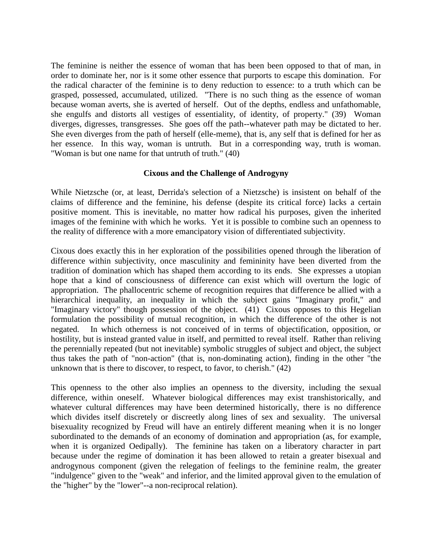The feminine is neither the essence of woman that has been been opposed to that of man, in order to dominate her, nor is it some other essence that purports to escape this domination. For the radical character of the feminine is to deny reduction to essence: to a truth which can be grasped, possessed, accumulated, utilized. "There is no such thing as the essence of woman because woman averts, she is averted of herself. Out of the depths, endless and unfathomable, she engulfs and distorts all vestiges of essentiality, of identity, of property." (39) Woman diverges, digresses, transgresses. She goes off the path--whatever path may be dictated to her. She even diverges from the path of herself (elle-meme), that is, any self that is defined for her as her essence. In this way, woman is untruth. But in a corresponding way, truth is woman. "Woman is but one name for that untruth of truth." (40)

### **Cixous and the Challenge of Androgyny**

While Nietzsche (or, at least, Derrida's selection of a Nietzsche) is insistent on behalf of the claims of difference and the feminine, his defense (despite its critical force) lacks a certain positive moment. This is inevitable, no matter how radical his purposes, given the inherited images of the feminine with which he works. Yet it is possible to combine such an openness to the reality of difference with a more emancipatory vision of differentiated subjectivity.

Cixous does exactly this in her exploration of the possibilities opened through the liberation of difference within subjectivity, once masculinity and femininity have been diverted from the tradition of domination which has shaped them according to its ends. She expresses a utopian hope that a kind of consciousness of difference can exist which will overturn the logic of appropriation. The phallocentric scheme of recognition requires that difference be allied with a hierarchical inequality, an inequality in which the subject gains "Imaginary profit," and "Imaginary victory" though possession of the object. (41) Cixous opposes to this Hegelian formulation the possibility of mutual recognition, in which the difference of the other is not negated. In which otherness is not conceived of in terms of objectification, opposition, or hostility, but is instead granted value in itself, and permitted to reveal itself. Rather than reliving the perennially repeated (but not inevitable) symbolic struggles of subject and object, the subject thus takes the path of "non-action" (that is, non-dominating action), finding in the other "the unknown that is there to discover, to respect, to favor, to cherish." (42)

This openness to the other also implies an openness to the diversity, including the sexual difference, within oneself. Whatever biological differences may exist transhistorically, and whatever cultural differences may have been determined historically, there is no difference which divides itself discretely or discreetly along lines of sex and sexuality. The universal bisexuality recognized by Freud will have an entirely different meaning when it is no longer subordinated to the demands of an economy of domination and appropriation (as, for example, when it is organized Oedipally). The feminine has taken on a liberatory character in part because under the regime of domination it has been allowed to retain a greater bisexual and androgynous component (given the relegation of feelings to the feminine realm, the greater "indulgence" given to the "weak" and inferior, and the limited approval given to the emulation of the "higher" by the "lower"--a non-reciprocal relation).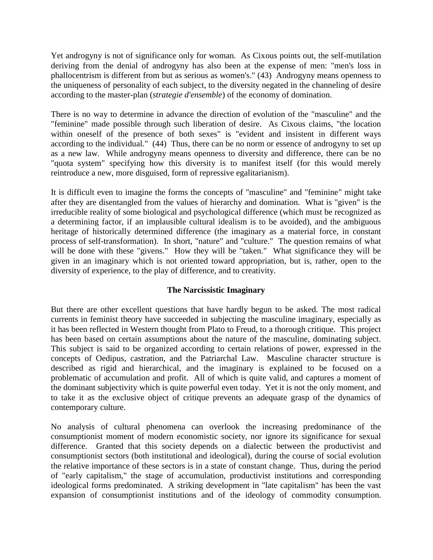Yet androgyny is not of significance only for woman. As Cixous points out, the self-mutilation deriving from the denial of androgyny has also been at the expense of men: "men's loss in phallocentrism is different from but as serious as women's." (43) Androgyny means openness to the uniqueness of personality of each subject, to the diversity negated in the channeling of desire according to the master-plan (*strategie d'ensemble*) of the economy of domination.

There is no way to determine in advance the direction of evolution of the "masculine" and the "feminine" made possible through such liberation of desire. As Cixous claims, "the location within oneself of the presence of both sexes" is "evident and insistent in different ways according to the individual." (44) Thus, there can be no norm or essence of androgyny to set up as a new law. While androgyny means openness to diversity and difference, there can be no "quota system" specifying how this diversity is to manifest itself (for this would merely reintroduce a new, more disguised, form of repressive egalitarianism).

It is difficult even to imagine the forms the concepts of "masculine" and "feminine" might take after they are disentangled from the values of hierarchy and domination. What is "given" is the irreducible reality of some biological and psychological difference (which must be recognized as a determining factor, if an implausible cultural idealism is to be avoided), and the ambiguous heritage of historically determined difference (the imaginary as a material force, in constant process of self-transformation). In short, "nature" and "culture." The question remains of what will be done with these "givens." How they will be "taken." What significance they will be given in an imaginary which is not oriented toward appropriation, but is, rather, open to the diversity of experience, to the play of difference, and to creativity.

# **The Narcissistic Imaginary**

But there are other excellent questions that have hardly begun to be asked. The most radical currents in feminist theory have succeeded in subjecting the masculine imaginary, especially as it has been reflected in Western thought from Plato to Freud, to a thorough critique. This project has been based on certain assumptions about the nature of the masculine, dominating subject. This subject is said to be organized according to certain relations of power, expressed in the concepts of Oedipus, castration, and the Patriarchal Law. Masculine character structure is described as rigid and hierarchical, and the imaginary is explained to be focused on a problematic of accumulation and profit. All of which is quite valid, and captures a moment of the dominant subjectivity which is quite powerful even today. Yet it is not the only moment, and to take it as the exclusive object of critique prevents an adequate grasp of the dynamics of contemporary culture.

No analysis of cultural phenomena can overlook the increasing predominance of the consumptionist moment of modern economistic society, nor ignore its significance for sexual difference. Granted that this society depends on a dialectic between the productivist and consumptionist sectors (both institutional and ideological), during the course of social evolution the relative importance of these sectors is in a state of constant change. Thus, during the period of "early capitalism," the stage of accumulation, productivist institutions and corresponding ideological forms predominated. A striking development in "late capitalism" has been the vast expansion of consumptionist institutions and of the ideology of commodity consumption.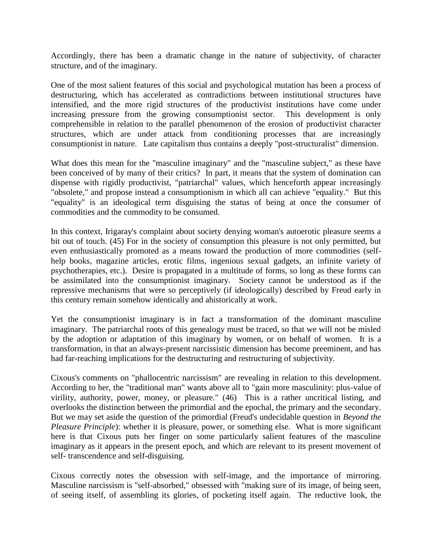Accordingly, there has been a dramatic change in the nature of subjectivity, of character structure, and of the imaginary.

One of the most salient features of this social and psychological mutation has been a process of destructuring, which has accelerated as contradictions between institutional structures have intensified, and the more rigid structures of the productivist institutions have come under increasing pressure from the growing consumptionist sector. This development is only comprehensible in relation to the parallel phenomenon of the erosion of productivist character structures, which are under attack from conditioning processes that are increasingly consumptionist in nature. Late capitalism thus contains a deeply "post-structuralist" dimension.

What does this mean for the "masculine imaginary" and the "masculine subject," as these have been conceived of by many of their critics? In part, it means that the system of domination can dispense with rigidly productivist, "patriarchal" values, which henceforth appear increasingly "obsolete," and propose instead a consumptionism in which all can achieve "equality." But this "equality" is an ideological term disguising the status of being at once the consumer of commodities and the commodity to be consumed.

In this context, Irigaray's complaint about society denying woman's autoerotic pleasure seems a bit out of touch. (45) For in the society of consumption this pleasure is not only permitted, but even enthusiastically promoted as a means toward the production of more commodities (selfhelp books, magazine articles, erotic films, ingenious sexual gadgets, an infinite variety of psychotherapies, etc.). Desire is propagated in a multitude of forms, so long as these forms can be assimilated into the consumptionist imaginary. Society cannot be understood as if the repressive mechanisms that were so perceptively (if ideologically) described by Freud early in this century remain somehow identically and ahistorically at work.

Yet the consumptionist imaginary is in fact a transformation of the dominant masculine imaginary. The patriarchal roots of this genealogy must be traced, so that we will not be misled by the adoption or adaptation of this imaginary by women, or on behalf of women. It is a transformation, in that an always-present narcissistic dimension has become preeminent, and has had far-reaching implications for the destructuring and restructuring of subjectivity.

Cixous's comments on "phallocentric narcissism" are revealing in relation to this development. According to her, the "traditional man" wants above all to "gain more masculinity: plus-value of virility, authority, power, money, or pleasure." (46) This is a rather uncritical listing, and overlooks the distinction between the primordial and the epochal, the primary and the secondary. But we may set aside the question of the primordial (Freud's undecidable question in *Beyond the Pleasure Principle*): whether it is pleasure, power, or something else. What is more significant here is that Cixous puts her finger on some particularly salient features of the masculine imaginary as it appears in the present epoch, and which are relevant to its present movement of self- transcendence and self-disguising.

Cixous correctly notes the obsession with self-image, and the importance of mirroring. Masculine narcissism is "self-absorbed," obsessed with "making sure of its image, of being seen, of seeing itself, of assembling its glories, of pocketing itself again. The reductive look, the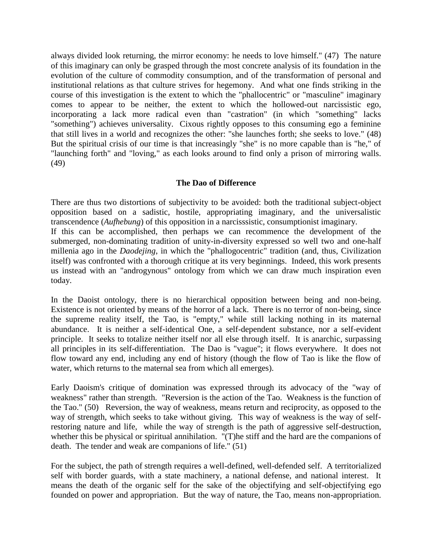always divided look returning, the mirror economy: he needs to love himself." (47) The nature of this imaginary can only be grasped through the most concrete analysis of its foundation in the evolution of the culture of commodity consumption, and of the transformation of personal and institutional relations as that culture strives for hegemony. And what one finds striking in the course of this investigation is the extent to which the "phallocentric" or "masculine" imaginary comes to appear to be neither, the extent to which the hollowed-out narcissistic ego, incorporating a lack more radical even than "castration" (in which "something" lacks "something") achieves universality. Cixous rightly opposes to this consuming ego a feminine that still lives in a world and recognizes the other: "she launches forth; she seeks to love." (48) But the spiritual crisis of our time is that increasingly "she" is no more capable than is "he," of "launching forth" and "loving," as each looks around to find only a prison of mirroring walls. (49)

## **The Dao of Difference**

There are thus two distortions of subjectivity to be avoided: both the traditional subject-object opposition based on a sadistic, hostile, appropriating imaginary, and the universalistic transcendence (*Aufhebung*) of this opposition in a narcisssistic, consumptionist imaginary. If this can be accomplished, then perhaps we can recommence the development of the submerged, non-dominating tradition of unity-in-diversity expressed so well two and one-half millenia ago in the *Daodejing*, in which the "phallogocentric" tradition (and, thus, Civilization itself) was confronted with a thorough critique at its very beginnings. Indeed, this work presents us instead with an "androgynous" ontology from which we can draw much inspiration even today.

In the Daoist ontology, there is no hierarchical opposition between being and non-being. Existence is not oriented by means of the horror of a lack. There is no terror of non-being, since the supreme reality itself, the Tao, is "empty," while still lacking nothing in its maternal abundance. It is neither a self-identical One, a self-dependent substance, nor a self-evident principle. It seeks to totalize neither itself nor all else through itself. It is anarchic, surpassing all principles in its self-differentiation. The Dao is "vague"; it flows everywhere. It does not flow toward any end, including any end of history (though the flow of Tao is like the flow of water, which returns to the maternal sea from which all emerges).

Early Daoism's critique of domination was expressed through its advocacy of the "way of weakness" rather than strength. "Reversion is the action of the Tao. Weakness is the function of the Tao." (50) Reversion, the way of weakness, means return and reciprocity, as opposed to the way of strength, which seeks to take without giving. This way of weakness is the way of selfrestoring nature and life, while the way of strength is the path of aggressive self-destruction, whether this be physical or spiritual annihilation. "(T)he stiff and the hard are the companions of death. The tender and weak are companions of life." (51)

For the subject, the path of strength requires a well-defined, well-defended self. A territorialized self with border guards, with a state machinery, a national defense, and national interest. It means the death of the organic self for the sake of the objectifying and self-objectifying ego founded on power and appropriation. But the way of nature, the Tao, means non-appropriation.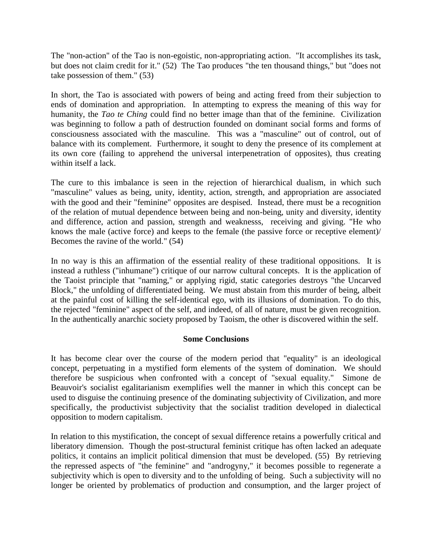The "non-action" of the Tao is non-egoistic, non-appropriating action. "It accomplishes its task, but does not claim credit for it." (52) The Tao produces "the ten thousand things," but "does not take possession of them." (53)

In short, the Tao is associated with powers of being and acting freed from their subjection to ends of domination and appropriation. In attempting to express the meaning of this way for humanity, the *Tao te Ching* could find no better image than that of the feminine. Civilization was beginning to follow a path of destruction founded on dominant social forms and forms of consciousness associated with the masculine. This was a "masculine" out of control, out of balance with its complement. Furthermore, it sought to deny the presence of its complement at its own core (failing to apprehend the universal interpenetration of opposites), thus creating within itself a lack.

The cure to this imbalance is seen in the rejection of hierarchical dualism, in which such "masculine" values as being, unity, identity, action, strength, and appropriation are associated with the good and their "feminine" opposites are despised. Instead, there must be a recognition of the relation of mutual dependence between being and non-being, unity and diversity, identity and difference, action and passion, strength and weaknesss, receiving and giving. "He who knows the male (active force) and keeps to the female (the passive force or receptive element)/ Becomes the ravine of the world." (54)

In no way is this an affirmation of the essential reality of these traditional oppositions. It is instead a ruthless ("inhumane") critique of our narrow cultural concepts. It is the application of the Taoist principle that "naming," or applying rigid, static categories destroys "the Uncarved Block," the unfolding of differentiated being. We must abstain from this murder of being, albeit at the painful cost of killing the self-identical ego, with its illusions of domination. To do this, the rejected "feminine" aspect of the self, and indeed, of all of nature, must be given recognition. In the authentically anarchic society proposed by Taoism, the other is discovered within the self.

### **Some Conclusions**

It has become clear over the course of the modern period that "equality" is an ideological concept, perpetuating in a mystified form elements of the system of domination. We should therefore be suspicious when confronted with a concept of "sexual equality." Simone de Beauvoir's socialist egalitarianism exemplifies well the manner in which this concept can be used to disguise the continuing presence of the dominating subjectivity of Civilization, and more specifically, the productivist subjectivity that the socialist tradition developed in dialectical opposition to modern capitalism.

In relation to this mystification, the concept of sexual difference retains a powerfully critical and liberatory dimension. Though the post-structural feminist critique has often lacked an adequate politics, it contains an implicit political dimension that must be developed. (55) By retrieving the repressed aspects of "the feminine" and "androgyny," it becomes possible to regenerate a subjectivity which is open to diversity and to the unfolding of being. Such a subjectivity will no longer be oriented by problematics of production and consumption, and the larger project of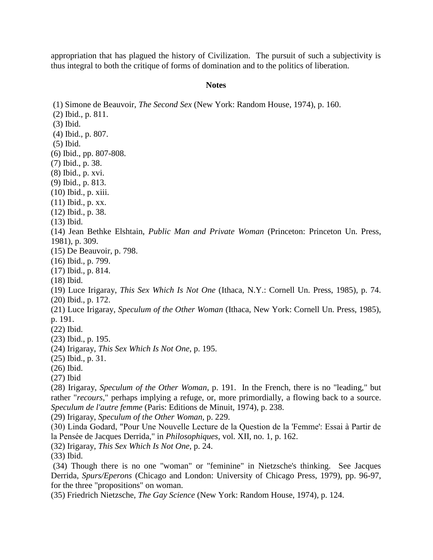appropriation that has plagued the history of Civilization. The pursuit of such a subjectivity is thus integral to both the critique of forms of domination and to the politics of liberation.

#### **Notes**

(1) Simone de Beauvoir, *The Second Sex* (New York: Random House, 1974), p. 160. (2) Ibid., p. 811. (3) Ibid. (4) Ibid., p. 807. (5) Ibid. (6) Ibid., pp. 807-808. (7) Ibid., p. 38. (8) Ibid., p. xvi. (9) Ibid., p. 813. (10) Ibid., p. xiii. (11) Ibid., p. xx. (12) Ibid., p. 38. (13) Ibid. (14) Jean Bethke Elshtain, *Public Man and Private Woman* (Princeton: Princeton Un. Press, 1981), p. 309. (15) De Beauvoir, p. 798. (16) Ibid., p. 799. (17) Ibid., p. 814. (18) Ibid. (19) Luce Irigaray, *This Sex Which Is Not One* (Ithaca, N.Y.: Cornell Un. Press, 1985), p. 74. (20) Ibid., p. 172. (21) Luce Irigaray, *Speculum of the Other Woman* (Ithaca, New York: Cornell Un. Press, 1985), p. 191. (22) Ibid. (23) Ibid., p. 195. (24) Irigaray, *This Sex Which Is Not One*, p. 195. (25) Ibid., p. 31. (26) Ibid. (27) Ibid (28) Irigaray, *Speculum of the Other Woman*, p. 191. In the French, there is no "leading," but rather "*recours*," perhaps implying a refuge, or, more primordially, a flowing back to a source. *Speculum de l'autre femme* (Paris: Editions de Minuit, 1974), p. 238. (29) Irigaray, *Speculum of the Other Woman,* p. 229. (30) Linda Godard, "Pour Une Nouvelle Lecture de la Question de la 'Femme': Essai à Partir de la Pensée de Jacques Derrida," in *Philosophiques*, vol. XII, no. 1, p. 162. (32) Irigaray, *This Sex Which Is Not One*, p. 24. (33) Ibid. (34) Though there is no one "woman" or "feminine" in Nietzsche's thinking. See Jacques Derrida, *Spurs/Eperons* (Chicago and London: University of Chicago Press, 1979), pp. 96-97, for the three "propositions" on woman.

(35) Friedrich Nietzsche, *The Gay Science* (New York: Random House, 1974), p. 124.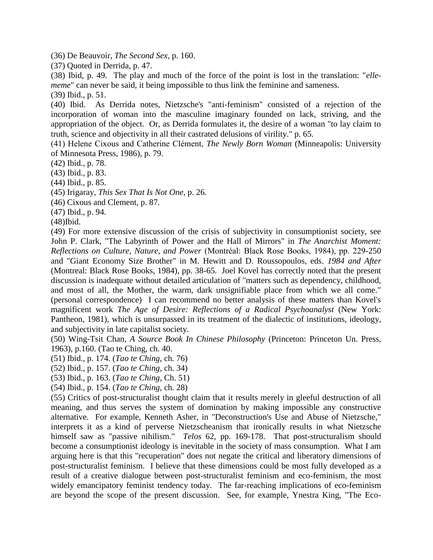(36) De Beauvoir, *The Second Sex*, p. 160.

(37) Quoted in Derrida, p. 47.

(38) Ibid, p. 49. The play and much of the force of the point is lost in the translation: "*ellememe*" can never be said, it being impossible to thus link the feminine and sameness.

(39) Ibid., p. 51.

(40) Ibid. As Derrida notes, Nietzsche's "anti-feminism" consisted of a rejection of the incorporation of woman into the masculine imaginary founded on lack, striving, and the appropriation of the object. Or, as Derrida formulates it, the desire of a woman "to lay claim to truth, science and objectivity in all their castrated delusions of virility." p. 65.

(41) Helene Cixous and Catherine Clément, *The Newly Born Woman* (Minneapolis: University of Minnesota Press, 1986), p. 79.

(42) Ibid., p. 78.

(43) Ibid., p. 83.

(44) Ibid., p. 85.

(45) Irigaray, *This Sex That Is Not One*, p. 26.

(46) Cixous and Clement, p. 87.

(47) Ibid., p. 94.

(48)Ibid.

(49) For more extensive discussion of the crisis of subjectivity in consumptionist society, see John P. Clark, "The Labyrinth of Power and the Hall of Mirrors" in *The Anarchist Moment: Reflections on Culture, Nature, and Power* (Montréal: Black Rose Books, 1984), pp. 229-250 and "Giant Economy Size Brother" in M. Hewitt and D. Roussopoulos, eds. *1984 and After*  (Montreal: Black Rose Books, 1984), pp. 38-65. Joel Kovel has correctly noted that the present discussion is inadequate without detailed articulation of "matters such as dependency, childhood, and most of all, the Mother, the warm, dark unsignifiable place from which we all come." (personal correspondence) I can recommend no better analysis of these matters than Kovel's magnificent work *The Age of Desire: Reflections of a Radical Psychoanalyst* (New York: Pantheon, 1981), which is unsurpassed in its treatment of the dialectic of institutions, ideology, and subjectivity in late capitalist society.

(50) Wing-Tsit Chan, *A Source Book In Chinese Philosophy* (Princeton: Princeton Un. Press, 1963), p.160. (Tao te Ching, ch. 40.

(51) Ibid., p. 174. (*Tao te Ching*, ch. 76)

(52) Ibid., p. 157. (*Tao te Ching*, ch. 34)

(53) Ibid., p. 163. (*Tao te Ching*, Ch. 51)

(54) Ibid., p. 154. (*Tao te Ching*, ch. 28)

(55) Critics of post-structuralist thought claim that it results merely in gleeful destruction of all meaning, and thus serves the system of domination by making impossible any constructive alternative. For example, Kenneth Asher, in "Deconstruction's Use and Abuse of Nietzsche," interprets it as a kind of perverse Nietzscheanism that ironically results in what Nietzsche himself saw as "passive nihilism." *Telos* 62, pp. 169-178. That post-structuralism should become a consumptionist ideology is inevitable in the society of mass consumption. What I am arguing here is that this "recuperation" does not negate the critical and liberatory dimensions of post-structuralist feminism. I believe that these dimensions could be most fully developed as a result of a creative dialogue between post-structuralist feminism and eco-feminism, the most widely emancipatory feminist tendency today. The far-reaching implications of eco-feminism are beyond the scope of the present discussion. See, for example, Ynestra King, "The Eco